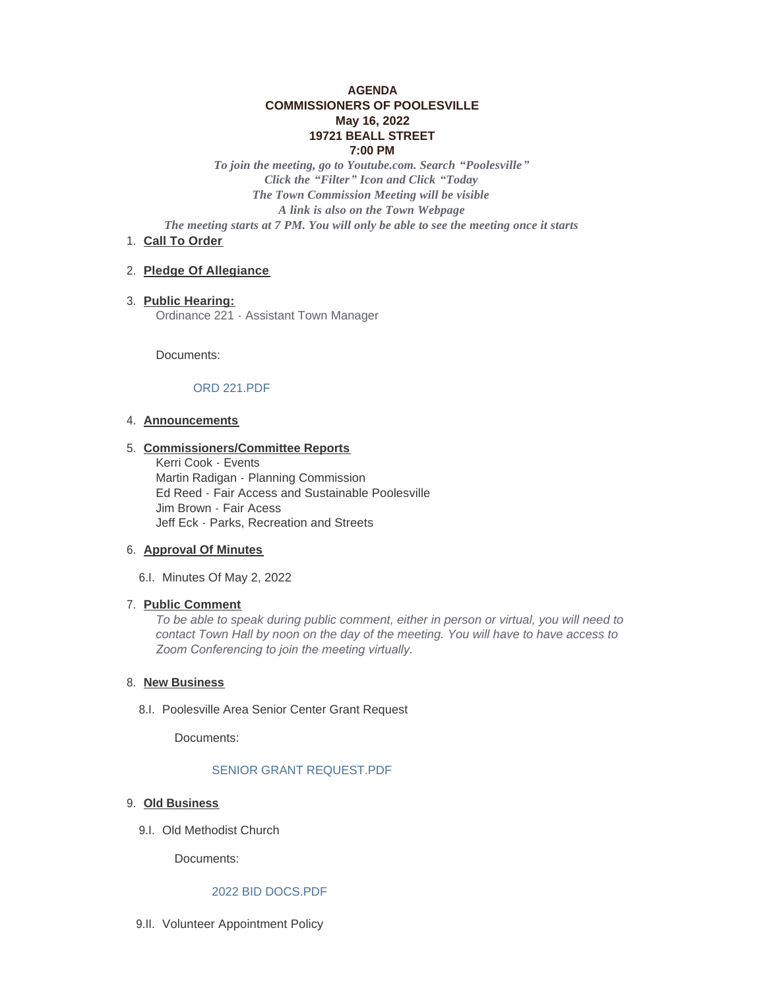# **AGENDA COMMISSIONERS OF POOLESVILLE May 16, 2022 19721 BEALL STREET 7:00 PM**

*To join the meeting, go to Youtube.com. Search "Poolesville" Click the "Filter" Icon and Click "Today The Town Commission Meeting will be visible A link is also on the Town Webpage The meeting starts at 7 PM. You will only be able to see the meeting once it starts*

# 1. Call To Order

## **Pledge Of Allegiance** 2.

**Public Hearing:** 3. Ordinance 221 - Assistant Town Manager

Documents:

# [ORD 221.PDF](https://www.poolesvillemd.gov/AgendaCenter/ViewFile/Item/4246?fileID=7260)

#### **Announcements** 4.

#### **Commissioners/Committee Reports** 5.

Kerri Cook - Events Martin Radigan - Planning Commission Ed Reed - Fair Access and Sustainable Poolesville Jim Brown - Fair Acess Jeff Eck - Parks, Recreation and Streets

# **Approval Of Minutes** 6.

6.I. Minutes Of May 2, 2022

## **Public Comment** 7.

*To be able to speak during public comment, either in person or virtual, you will need to contact Town Hall by noon on the day of the meeting. You will have to have access to Zoom Conferencing to join the meeting virtually.* 

## 8. New Business

8.I. Poolesville Area Senior Center Grant Request

Documents:

# [SENIOR GRANT REQUEST.PDF](https://www.poolesvillemd.gov/AgendaCenter/ViewFile/Item/4248?fileID=7261)

#### **Old Business** 9.

9.I. Old Methodist Church

Documents:

# [2022 BID DOCS.PDF](https://www.poolesvillemd.gov/AgendaCenter/ViewFile/Item/4261?fileID=7263)

9.II. Volunteer Appointment Policy